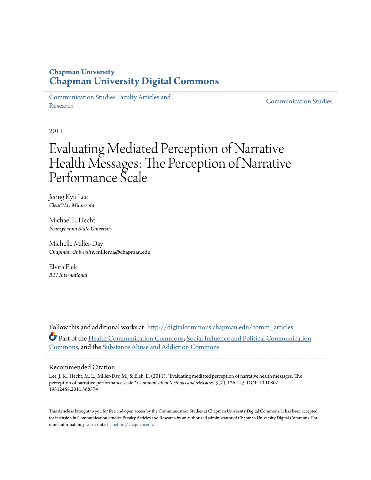### **Chapman University [Chapman University Digital Commons](http://digitalcommons.chapman.edu?utm_source=digitalcommons.chapman.edu%2Fcomm_articles%2F10&utm_medium=PDF&utm_campaign=PDFCoverPages)**

[Communication Studies Faculty Articles and](http://digitalcommons.chapman.edu/comm_articles?utm_source=digitalcommons.chapman.edu%2Fcomm_articles%2F10&utm_medium=PDF&utm_campaign=PDFCoverPages) [Research](http://digitalcommons.chapman.edu/comm_articles?utm_source=digitalcommons.chapman.edu%2Fcomm_articles%2F10&utm_medium=PDF&utm_campaign=PDFCoverPages) [Communication Studies](http://digitalcommons.chapman.edu/communication?utm_source=digitalcommons.chapman.edu%2Fcomm_articles%2F10&utm_medium=PDF&utm_campaign=PDFCoverPages)

2011

## Evaluating Mediated Perception of Narrative Health Messages: The Perception of Narrative Performance Scale

Jeong Kyu Lee *ClearWay Minnesota*

Michael L. Hecht *Pennsylvania State University*

Michelle Miller-Day *Chapman University*, millerda@chapman.edu

Elvira Elek *RTI International*

Follow this and additional works at: [http://digitalcommons.chapman.edu/comm\\_articles](http://digitalcommons.chapman.edu/comm_articles?utm_source=digitalcommons.chapman.edu%2Fcomm_articles%2F10&utm_medium=PDF&utm_campaign=PDFCoverPages) Part of the [Health Communication Commons](http://network.bepress.com/hgg/discipline/330?utm_source=digitalcommons.chapman.edu%2Fcomm_articles%2F10&utm_medium=PDF&utm_campaign=PDFCoverPages), [Social Influence and Political Communication](http://network.bepress.com/hgg/discipline/337?utm_source=digitalcommons.chapman.edu%2Fcomm_articles%2F10&utm_medium=PDF&utm_campaign=PDFCoverPages) [Commons,](http://network.bepress.com/hgg/discipline/337?utm_source=digitalcommons.chapman.edu%2Fcomm_articles%2F10&utm_medium=PDF&utm_campaign=PDFCoverPages) and the [Substance Abuse and Addiction Commons](http://network.bepress.com/hgg/discipline/710?utm_source=digitalcommons.chapman.edu%2Fcomm_articles%2F10&utm_medium=PDF&utm_campaign=PDFCoverPages)

#### Recommended Citation

Lee, J. K., Hecht, M. L., Miller-Day, M., & Elek, E. (2011). "Evaluating mediated perception of narrative health messages: The perception of narrative performance scale." *Communication Methods and Measures, 5*(2), 126-145. DOI: 10.1080/ 19312458.2011.568374

This Article is brought to you for free and open access by the Communication Studies at Chapman University Digital Commons. It has been accepted for inclusion in Communication Studies Faculty Articles and Research by an authorized administrator of Chapman University Digital Commons. For more information, please contact  $\text{la }\mathbf{u}$  and  $\mathbf{u}$  and  $\mathbf{u}$  and  $\mathbf{u}$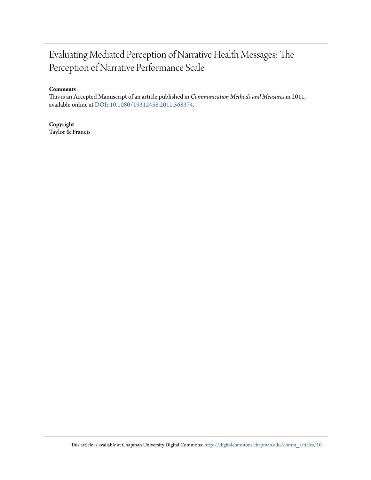## Evaluating Mediated Perception of Narrative Health Messages: The Perception of Narrative Performance Scale

#### **Comments**

This is an Accepted Manuscript of an article published in *Communication Methods and Measures* in 2011, available online at [DOI: 10.1080/19312458.2011.568374.](http://www.dx.doi.org/10.1080/19312458.2011.568374)

#### **Copyright**

Taylor & Francis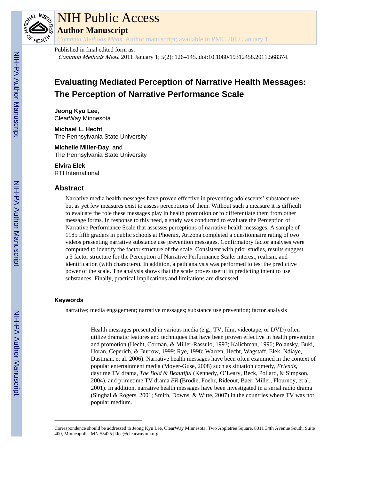

## NIH Public Access

**Author Manuscript**

*Commun Methods Meas*. Author manuscript; available in PMC 2012 January 1.

#### Published in final edited form as:

Commun Methods Meas. 2011 January 1; 5(2): 126–145. doi:10.1080/19312458.2011.568374.

## **Evaluating Mediated Perception of Narrative Health Messages: The Perception of Narrative Performance Scale**

**Jeong Kyu Lee**, ClearWay Minnesota

**Michael L. Hecht**, The Pennsylvania State University

**Michelle Miller-Day**, and The Pennsylvania State University

**Elvira Elek** RTI International

## **Abstract**

Narrative media health messages have proven effective in preventing adolescents' substance use but as yet few measures exist to assess perceptions of them. Without such a measure it is difficult to evaluate the role these messages play in health promotion or to differentiate them from other message forms. In response to this need, a study was conducted to evaluate the Perception of Narrative Performance Scale that assesses perceptions of narrative health messages. A sample of 1185 fifth graders in public schools at Phoenix, Arizona completed a questionnaire rating of two videos presenting narrative substance use prevention messages. Confirmatory factor analyses were computed to identify the factor structure of the scale. Consistent with prior studies, results suggest a 3 factor structure for the Perception of Narrative Performance Scale: interest, realism, and identification (with characters). In addition, a path analysis was performed to test the predictive power of the scale. The analysis shows that the scale proves useful in predicting intent to use substances. Finally, practical implications and limitations are discussed.

#### **Keywords**

narrative; media engagement; narrative messages; substance use prevention; factor analysis

Health messages presented in various media (e.g., TV, film, videotape, or DVD) often utilize dramatic features and techniques that have been proven effective in health prevention and promotion (Hecht, Corman, & Miller-Rassulo, 1993; Kalichman, 1996; Polansky, Buki, Horan, Ceperich, & Burrow, 1999; Rye, 1998; Warren, Hecht, Wagstaff, Elek, Ndiaye, Dustman, et al. 2006). Narrative health messages have been often examined in the context of popular entertainment media (Moyer-Guse, 2008) such as situation comedy, *Friends*, daytime TV drama, *The Bold & Beautiful* (Kennedy, O'Leary, Beck, Pollard, & Simpson, 2004), and primetime TV drama *ER* (Brodie, Foehr, Rideout, Baer, Miller, Flournoy, et al. 2001). In addition, narrative health messages have been investigated in a serial radio drama (Singhal & Rogers, 2001; Smith, Downs, & Witte, 2007) in the countries where TV was not popular medium.

Correspondence should be addressed to Jeong Kyu Lee, ClearWay Minnesota, Two Appletree Square, 8011 34th Avenue South, Suite 400, Minneapolis, MN 55425 jklee@clearwaymn.org.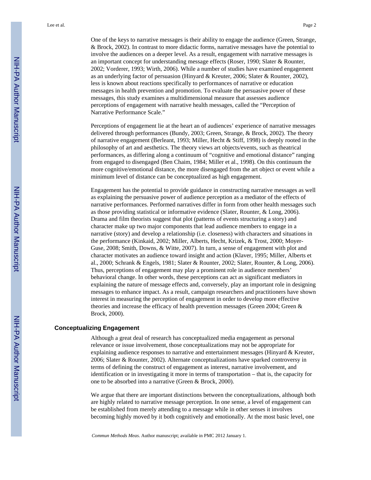One of the keys to narrative messages is their ability to engage the audience (Green, Strange, & Brock, 2002). In contrast to more didactic forms, narrative messages have the potential to involve the audiences on a deeper level. As a result, engagement with narrative messages is an important concept for understanding message effects (Roser, 1990; Slater & Rounter, 2002; Vorderer, 1993; Wirth, 2006). While a number of studies have examined engagement as an underlying factor of persuasion (Hinyard & Kreuter, 2006; Slater & Rounter, 2002), less is known about reactions specifically to performances of narrative or education messages in health prevention and promotion. To evaluate the persuasive power of these messages, this study examines a multidimensional measure that assesses audience perceptions of engagement with narrative health messages, called the "Perception of Narrative Performance Scale."

Perceptions of engagement lie at the heart an of audiences' experience of narrative messages delivered through performances (Bundy, 2003; Green, Strange, & Brock, 2002). The theory of narrative engagement (Berleant, 1993; Miller, Hecht & Stiff, 1998) is deeply rooted in the philosophy of art and aesthetics. The theory views art objects/events, such as theatrical performances, as differing along a continuum of "cognitive and emotional distance" ranging from engaged to disengaged (Ben Chaim, 1984; Miller et al., 1998). On this continuum the more cognitive/emotional distance, the more disengaged from the art object or event while a minimum level of distance can be conceptualized as high engagement.

Engagement has the potential to provide guidance in constructing narrative messages as well as explaining the persuasive power of audience perception as a mediator of the effects of narrative performances. Performed narratives differ in form from other health messages such as those providing statistical or informative evidence (Slater, Rounter, & Long, 2006). Drama and film theorists suggest that plot (patterns of events structuring a story) and character make up two major components that lead audience members to engage in a narrative (story) and develop a relationship (i.e. closeness) with characters and situations in the performance (Kinkaid, 2002; Miller, Alberts, Hecht, Krizek, & Trost, 2000; Moyer-Guse, 2008; Smith, Downs, & Witte, 2007). In turn, a sense of engagement with plot and character motivates an audience toward insight and action (Klaver, 1995; Miller, Alberts et al., 2000; Schrank & Engels, 1981; Slater & Rounter, 2002; Slater, Rounter, & Long, 2006). Thus, perceptions of engagement may play a prominent role in audience members' behavioral change. In other words, these perceptions can act as significant mediators in explaining the nature of message effects and, conversely, play an important role in designing messages to enhance impact. As a result, campaign researchers and practitioners have shown interest in measuring the perception of engagement in order to develop more effective theories and increase the efficacy of health prevention messages (Green 2004; Green & Brock, 2000).

#### **Conceptualizing Engagement**

Although a great deal of research has conceptualized media engagement as personal relevance or issue involvement, those conceptualizations may not be appropriate for explaining audience responses to narrative and entertainment messages (Hinyard & Kreuter, 2006; Slater & Rounter, 2002). Alternate conceptualizations have sparked controversy in terms of defining the construct of engagement as interest, narrative involvement, and identification or in investigating it more in terms of transportation – that is, the capacity for one to be absorbed into a narrative (Green & Brock, 2000).

We argue that there are important distinctions between the conceptualizations, although both are highly related to narrative message perception. In one sense, a level of engagement can be established from merely attending to a message while in other senses it involves becoming highly moved by it both cognitively and emotionally. At the most basic level, one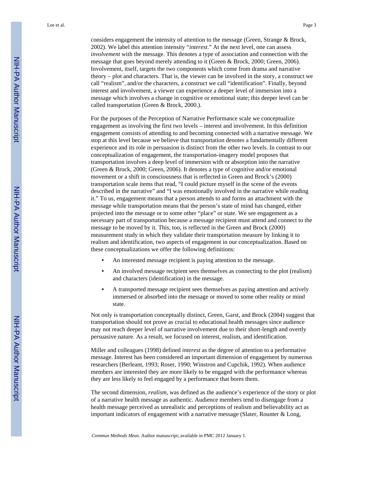considers engagement the intensity of attention to the message (Green, Strange & Brock, 2002). We label this attention intensity "*interest*." At the next level, one can assess *involvement* with the message. This denotes a type of association and connection with the message that goes beyond merely attending to it (Green & Brock, 2000; Green, 2006). Involvement, itself, targets the two components which come from drama and narrative theory – plot and characters. That is, the viewer can be involved in the story, a construct we call "realism", and/or the characters, a construct we call "identification". Finally, beyond interest and involvement, a viewer can experience a deeper level of immersion into a message which involves a change in cognitive or emotional state; this deeper level can be called transportation (Green & Brock, 2000.).

For the purposes of the Perception of Narrative Performance scale we conceptualize engagement as involving the first two levels – interest and involvement. In this definition engagement consists of attending to and becoming connected with a narrative message. We stop at this level because we believe that transportation denotes a fundamentally different experience and its role in persuasion is distinct from the other two levels. In contrast to our conceptualization of engagement, the transportation-imagery model proposes that transportation involves a deep level of immersion with or absorption into the narrative (Green & Brock, 2000; Green, 2006). It denotes a type of cognitive and/or emotional movement or a shift in consciousness that is reflected in Green and Brock's (2000) transportation scale items that read, "I could picture myself in the scene of the events described in the narrative" and "I was emotionally involved in the narrative while reading it." To us, engagement means that a person attends to and forms an attachment with the message while transportation means that the person's state of mind has changed, either projected into the message or to some other "place" or state. We see engagement as a necessary part of transportation because a message recipient must attend and connect to the message to be moved by it. This, too, is reflected in the Green and Brock (2000) measurement study in which they validate their transportation measure by linking it to realism and identification, two aspects of engagement in our conceptualization. Based on these conceptualizations we offer the following definitions:

- **•** An interested message recipient is paying attention to the message.
- **•** An involved message recipient sees themselves as connecting to the plot (realism) and characters (identification) in the message.
- **•** A transported message recipient sees themselves as paying attention and actively immersed or absorbed into the message or moved to some other reality or mind state.

Not only is transportation conceptually distinct, Green, Garst, and Brock (2004) suggest that transportation should not prove as crucial to educational health messages since audience may not reach deeper level of narrative involvement due to their short-length and overtly persuasive nature. As a result, we focused on interest, realism, and identification.

Miller and colleagues (1998) defined *interest* as the degree of attention to a performative message. Interest has been considered an important dimension of engagement by numerous researchers (Berleant, 1993; Roser, 1990; Winstron and Cupchik, 1992). When audience members are interested they are more likely to be engaged with the performance whereas they are less likely to feel engaged by a performance that bores them.

The second dimension, *realism*, was defined as the audience's experience of the story or plot of a narrative health message as authentic. Audience members tend to disengage from a health message perceived as unrealistic and perceptions of realism and believability act as important indicators of engagement with a narrative message (Slater, Rounter & Long,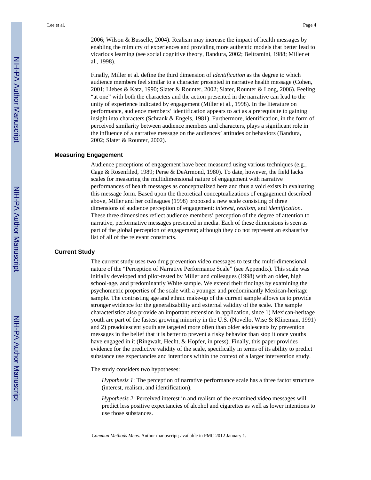Finally, Miller et al. define the third dimension of *identification* as the degree to which audience members feel similar to a character presented in narrative health message (Cohen, 2001; Liebes & Katz, 1990; Slater & Rounter, 2002; Slater, Rounter & Long, 2006). Feeling "at one" with both the characters and the action presented in the narrative can lead to the unity of experience indicated by engagement (Miller et al., 1998). In the literature on performance, audience members' identification appears to act as a prerequisite to gaining insight into characters (Schrank & Engels, 1981). Furthermore, identification, in the form of perceived similarity between audience members and characters, plays a significant role in the influence of a narrative message on the audiences' attitudes or behaviors (Bandura, 2002; Slater & Rounter, 2002).

#### **Measuring Engagement**

Audience perceptions of engagement have been measured using various techniques (e.g., Cage & Rosenfiled, 1989; Perse & DeArmond, 1980). To date, however, the field lacks scales for measuring the multidimensional nature of engagement with narrative performances of health messages as conceptualized here and thus a void exists in evaluating this message form. Based upon the theoretical conceptualizations of engagement described above, Miller and her colleagues (1998) proposed a new scale consisting of three dimensions of audience perception of engagement: *interest*, *realism*, and *identification*. These three dimensions reflect audience members' perception of the degree of attention to narrative, performative messages presented in media. Each of these dimensions is seen as part of the global perception of engagement; although they do not represent an exhaustive list of all of the relevant constructs.

#### **Current Study**

The current study uses two drug prevention video messages to test the multi-dimensional nature of the "Perception of Narrative Performance Scale" (see Appendix). This scale was initially developed and pilot-tested by Miller and colleagues (1998) with an older, high school-age, and predominantly White sample. We extend their findings by examining the psychometric properties of the scale with a younger and predominantly Mexican-heritage sample. The contrasting age and ethnic make-up of the current sample allows us to provide stronger evidence for the generalizability and external validity of the scale. The sample characteristics also provide an important extension in application, since 1) Mexican-heritage youth are part of the fastest growing minority in the U.S. (Novello, Wise & Klineman, 1991) and 2) preadolescent youth are targeted more often than older adolescents by prevention messages in the belief that it is better to prevent a risky behavior than stop it once youths have engaged in it (Ringwalt, Hecht, & Hopfer, in press). Finally, this paper provides evidence for the predictive validity of the scale, specifically in terms of its ability to predict substance use expectancies and intentions within the context of a larger intervention study.

The study considers two hypotheses:

*Hypothesis 1*: The perception of narrative performance scale has a three factor structure (interest, realism, and identification).

*Hypothesis 2*: Perceived interest in and realism of the examined video messages will predict less positive expectancies of alcohol and cigarettes as well as lower intentions to use those substances.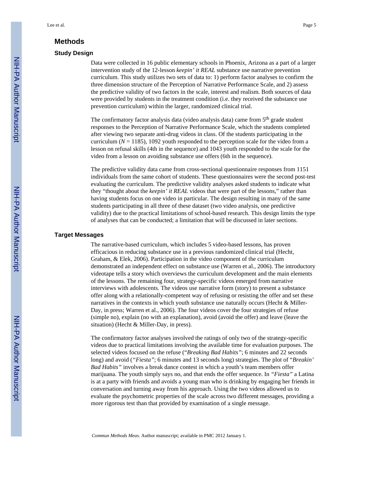#### **Methods**

#### **Study Design**

Data were collected in 16 public elementary schools in Phoenix, Arizona as a part of a larger intervention study of the 12-lesson *keepin' it REAL* substance use narrative prevention curriculum. This study utilizes two sets of data to: 1) perform factor analyses to confirm the three dimension structure of the Perception of Narrative Performance Scale, and 2) assess the predictive validity of two factors in the scale, interest and realism. Both sources of data were provided by students in the treatment condition (i.e. they received the substance use prevention curriculum) within the larger, randomized clinical trial.

The confirmatory factor analysis data (video analysis data) came from 5<sup>th</sup> grade student responses to the Perception of Narrative Performance Scale, which the students completed after viewing two separate anti-drug videos in class. Of the students participating in the curriculum  $(N = 1185)$ , 1092 youth responded to the perception scale for the video from a lesson on refusal skills (4th in the sequence) and 1043 youth responded to the scale for the video from a lesson on avoiding substance use offers (6th in the sequence).

The predictive validity data came from cross-sectional questionnaire responses from 1151 individuals from the same cohort of students. These questionnaires were the second post-test evaluating the curriculum. The predictive validity analyses asked students to indicate what they "thought about the *keepin' it REAL* videos that were part of the lessons," rather than having students focus on one video in particular. The design resulting in many of the same students participating in all three of these dataset (two video analysis, one predictive validity) due to the practical limitations of school-based research. This design limits the type of analyses that can be conducted; a limitation that will be discussed in later sections.

#### **Target Messages**

The narrative-based curriculum, which includes 5 video-based lessons, has proven efficacious in reducing substance use in a previous randomized clinical trial (Hecht, Graham, & Elek, 2006). Participation in the video component of the curriculum demonstrated an independent effect on substance use (Warren et al., 2006). The introductory videotape tells a story which overviews the curriculum development and the main elements of the lessons. The remaining four, strategy-specific videos emerged from narrative interviews with adolescents. The videos use narrative form (story) to present a substance offer along with a relationally-competent way of refusing or resisting the offer and set these narratives in the contexts in which youth substance use naturally occurs (Hecht & Miller-Day, in press; Warren et al., 2006). The four videos cover the four strategies of refuse (simple no), explain (no with an explanation), avoid (avoid the offer) and leave (leave the situation) (Hecht & Miller-Day, in press).

The confirmatory factor analyses involved the ratings of only two of the strategy-specific videos due to practical limitations involving the available time for evaluation purposes. The selected videos focused on the refuse ("*Breaking Bad Habits"*; 6 minutes and 22 seconds long) and avoid (*"Fiesta"*; 6 minutes and 13 seconds long) strategies. The plot of "*Breakin' Bad Habits"* involves a break dance contest in which a youth's team members offer marijuana. The youth simply says no, and that ends the offer sequence. In *"Fiesta"* a Latina is at a party with friends and avoids a young man who is drinking by engaging her friends in conversation and turning away from his approach. Using the two videos allowed us to evaluate the psychometric properties of the scale across two different messages, providing a more rigorous test than that provided by examination of a single message.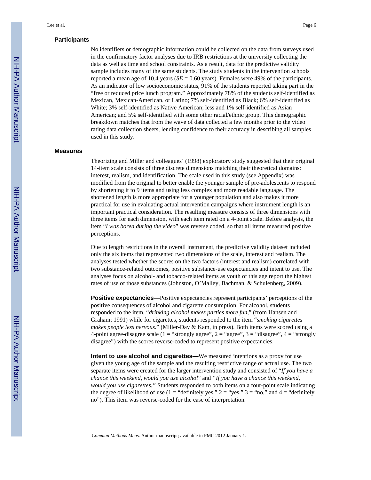#### **Participants**

No identifiers or demographic information could be collected on the data from surveys used in the confirmatory factor analyses due to IRB restrictions at the university collecting the data as well as time and school constraints. As a result, data for the predictive validity sample includes many of the same students. The study students in the intervention schools reported a mean age of 10.4 years (*SE* = 0.60 years). Females were 49% of the participants. As an indicator of low socioeconomic status, 91% of the students reported taking part in the "free or reduced price lunch program." Approximately 78% of the students self-identified as Mexican, Mexican-American, or Latino; 7% self-identified as Black; 6% self-identified as White; 3% self-identified as Native American; less and 1% self-identified as Asian American; and 5% self-identified with some other racial/ethnic group. This demographic breakdown matches that from the wave of data collected a few months prior to the video rating data collection sheets, lending confidence to their accuracy in describing all samples used in this study.

#### **Measures**

Theorizing and Miller and colleagues' (1998) exploratory study suggested that their original 14-item scale consists of three discrete dimensions matching their theoretical domains: interest, realism, and identification. The scale used in this study (see Appendix) was modified from the original to better enable the younger sample of pre-adolescents to respond by shortening it to 9 items and using less complex and more readable language. The shortened length is more appropriate for a younger population and also makes it more practical for use in evaluating actual intervention campaigns where instrument length is an important practical consideration. The resulting measure consists of three dimensions with three items for each dimension, with each item rated on a 4-point scale. Before analysis, the item "*I was bored during the video*" was reverse coded, so that all items measured positive perceptions.

Due to length restrictions in the overall instrument, the predictive validity dataset included only the six items that represented two dimensions of the scale, interest and realism. The analyses tested whether the scores on the two factors (interest and realism) correlated with two substance-related outcomes, positive substance-use expectancies and intent to use. The analyses focus on alcohol- and tobacco-related items as youth of this age report the highest rates of use of those substances (Johnston, O'Malley, Bachman, & Schulenberg, 2009).

**Positive expectancies—**Positive expectancies represent participants' perceptions of the positive consequences of alcohol and cigarette consumption. For alcohol, students responded to the item, "*drinking alcohol makes parties more fun*," (from Hansen and Graham; 1991) while for cigarettes, students responded to the item "*smoking cigarettes makes people less nervous*." (Miller-Day & Kam, in press). Both items were scored using a 4-point agree-disagree scale (1 = "strongly agree", 2 = "agree", 3 = "disagree", 4 = "strongly disagree") with the scores reverse-coded to represent positive expectancies.

**Intent to use alcohol and cigarettes—**We measured intentions as a proxy for use given the young age of the sample and the resulting restrictive range of actual use. The two separate items were created for the larger intervention study and consisted of "*If you have a chance this weekend, would you use alcohol*" and *"If you have a chance this weekend, would you use cigarettes."* Students responded to both items on a four-point scale indicating the degree of likelihood of use (1 = "definitely yes,"  $2 =$  "yes,"  $3 =$  "no," and  $4 =$  "definitely no"). This item was reverse-coded for the ease of interpretation.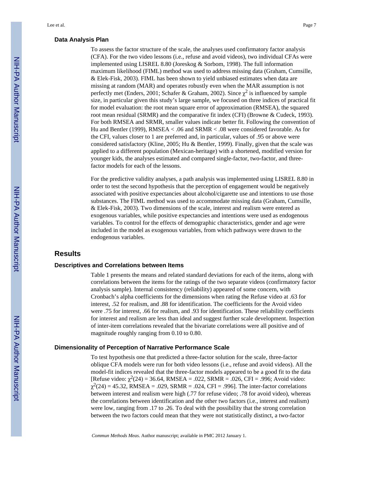#### **Data Analysis Plan**

To assess the factor structure of the scale, the analyses used confirmatory factor analysis (CFA). For the two video lessons (i.e., refuse and avoid videos), two individual CFAs were implemented using LISREL 8.80 (Joreskog & Sorbom, 1998). The full information maximum likelihood (FIML) method was used to address missing data (Graham, Cumsille, & Elek-Fisk, 2003). FIML has been shown to yield unbiased estimates when data are missing at random (MAR) and operates robustly even when the MAR assumption is not perfectly met (Enders, 2001; Schafer & Graham, 2002). Since  $\chi^2$  is influenced by sample size, in particular given this study's large sample, we focused on three indices of practical fit for model evaluation: the root mean square error of approximation (RMSEA), the squared root mean residual (SRMR) and the comparative fit index (CFI) (Browne & Cudeck, 1993). For both RMSEA and SRMR, smaller values indicate better fit. Following the convention of Hu and Bentler (1999), RMSEA < .06 and SRMR < .08 were considered favorable. As for the CFI, values closer to 1 are preferred and, in particular, values of .95 or above were considered satisfactory (Kline, 2005; Hu & Bentler, 1999). Finally, given that the scale was applied to a different population (Mexican-heritage) with a shortened, modified version for younger kids, the analyses estimated and compared single-factor, two-factor, and threefactor models for each of the lessons.

For the predictive validity analyses, a path analysis was implemented using LISREL 8.80 in order to test the second hypothesis that the perception of engagement would be negatively associated with positive expectancies about alcohol/cigarette use and intentions to use those substances. The FIML method was used to accommodate missing data (Graham, Cumsille, & Elek-Fisk, 2003). Two dimensions of the scale, interest and realism were entered as exogenous variables, while positive expectancies and intentions were used as endogenous variables. To control for the effects of demographic characteristics, gender and age were included in the model as exogenous variables, from which pathways were drawn to the endogenous variables.

#### **Results**

#### **Descriptives and Correlations between Items**

Table 1 presents the means and related standard deviations for each of the items, along with correlations between the items for the ratings of the two separate videos (confirmatory factor analysis sample). Internal consistency (reliability) appeared of some concern, with Cronbach's alpha coefficients for the dimensions when rating the Refuse video at .63 for interest, .52 for realism, and .88 for identification. The coefficients for the Avoid video were .75 for interest, .66 for realism, and .93 for identification. These reliability coefficients for interest and realism are less than ideal and suggest further scale development. Inspection of inter-item correlations revealed that the bivariate correlations were all positive and of magnitude roughly ranging from 0.10 to 0.80.

#### **Dimensionality of Perception of Narrative Performance Scale**

To test hypothesis one that predicted a three-factor solution for the scale, three-factor oblique CFA models were run for both video lessons (i.e., refuse and avoid videos). All the model-fit indices revealed that the three-factor models appeared to be a good fit to the data [Refuse video:  $\chi^2(24) = 36.64$ , RMSEA = .022, SRMR = .026, CFI = .996; Avoid video:  $\chi^2(24) = 45.32$ , RMSEA = .029, SRMR = .024, CFI = .996]. The inter-factor correlations between interest and realism were high (.77 for refuse video; .78 for avoid video), whereas the correlations between identification and the other two factors (i.e., interest and realism) were low, ranging from .17 to .26. To deal with the possibility that the strong correlation between the two factors could mean that they were not statistically distinct, a two-factor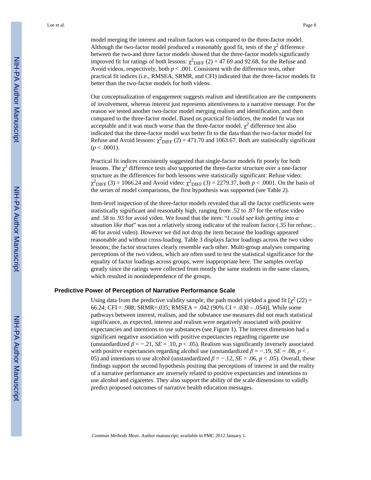model merging the interest and realism factors was compared to the three-factor model. Although the two-factor model produced a reasonably good fit, tests of the  $\chi^2$  difference between the two-and three factor models showed that the three-factor models significantly improved fit for ratings of both lessons:  $\chi^2$ <sub>DIFF</sub> (2) = 47.69 and 92.68, for the Refuse and Avoid videos, respectively, both *p* < .001. Consistent with the difference tests, other practical fit indices (i.e., RMSEA, SRMR, and CFI) indicated that the three-factor models fit better than the two-factor models for both videos.

Our conceptualization of engagement suggests realism and identification are the components of involvement, whereas interest just represents attentiveness to a narrative message. For the reason we tested another two-factor model merging realism and identification, and then compared to the three-factor model. Based on practical fit-indices, the model fit was not acceptable and it was much worse than the three-factor model.  $\chi^2$  difference test also indicated that the three-factor model was better fit to the data than the two-factor model for Refuse and Avoid lessons:  $\chi^2$ <sub>DIFF</sub> (2) = 471.70 and 1063.67. Both are statistically significant  $(p < .0001)$ .

Practical fit indices consistently suggested that single-factor models fit poorly for both lessons. The  $\chi^2$  difference tests also supported the three-factor structure over a one-factor structure as the differences for both lessons were statistically significant: Refuse video:  $\chi^2$ DIFF (3) = 1066.24 and Avoid video:  $\chi^2$ DIFF (3) = 2279.37, both *p* < .0001. On the basis of the series of model comparisons, the first hypothesis was supported (see Table 2).

Item-level inspection of the three-factor models revealed that all the factor coefficients were statistically significant and reasonably high, ranging from .52 to .87 for the refuse video and .58 to .93 for avoid video. We found that the item: "*I could see kids getting into a situation like that*" was not a relatively strong indicator of the realism factor (.35 for refuse; . 46 for avoid video). However we did not drop the item because the loadings appeared reasonable and without cross-loading. Table 3 displays factor loadings across the two video lessons; the factor structures clearly resemble each other. Multi-group analyses comparing perceptions of the two videos, which are often used to test the statistical significance for the equality of factor loadings across groups, were inappropriate here. The samples overlap greatly since the ratings were collected from mostly the same students in the same classes, which resulted in nonindependence of the groups.

#### **Predictive Power of Perception of Narrative Performance Scale**

Using data from the predictive validity sample, the path model yielded a good fit  $[\chi^2(22) =$ 66.24; CFI = .988; SRMR=.035; RMSEA = .042 (90% CI = .030 – .054)]. While some pathways between interest, realism, and the substance use measures did not reach statistical significance, as expected, interest and realism were negatively associated with positive expectancies and intentions to use substances (see Figure 1). The interest dimension had a significant negative association with positive expectancies regarding cigarette use (unstandardized  $\beta = -0.21$ , *SE* = .10, *p* < .05). Realism was significantly inversely associated with positive expectancies regarding alcohol use (unstandardized  $\beta = -0.19$ , *SE* = .08, *p* < . 05) and intentions to use alcohol (unstandardized  $\beta = -12$ , *SE* = .06, *p* < .05). Overall, these findings support the second hypothesis positing that perceptions of interest in and the reality of a narrative performance are inversely related to positive expectancies and intentions to use alcohol and cigarettes. They also support the ability of the scale dimensions to validly predict proposed outcomes of narrative health education messages.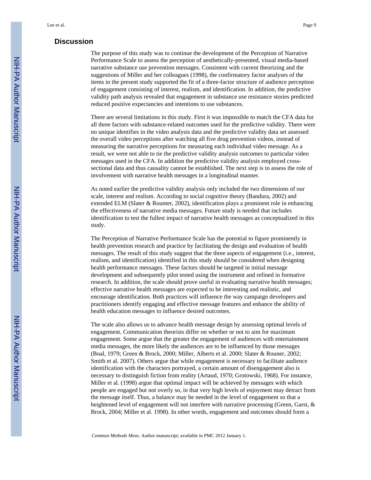#### **Discussion**

The purpose of this study was to continue the development of the Perception of Narrative Performance Scale to assess the perception of aesthetically-presented, visual media-based narrative substance use prevention messages. Consistent with current theorizing and the suggestions of Miller and her colleagues (1998), the confirmatory factor analyses of the items in the present study supported the fit of a three-factor structure of audience perception of engagement consisting of interest, realism, and identification. In addition, the predictive validity path analysis revealed that engagement in substance use resistance stories predicted reduced positive expectancies and intentions to use substances.

There are several limitations in this study. First it was impossible to match the CFA data for all three factors with substance-related outcomes used for the predictive validity. There were no unique identifies in the video analysis data and the predictive validity data set assessed the overall video perceptions after watching all five drug prevention videos, instead of measuring the narrative perceptions for measuring each individual video message. As a result, we were not able to tie the predictive validity analysis outcomes to particular video messages used in the CFA. In addition the predictive validity analysis employed crosssectional data and thus causality cannot be established. The next step is to assess the role of involvement with narrative health messages in a longitudinal manner.

As noted earlier the predictive validity analysis only included the two dimensions of our scale, interest and realism. According to social cognitive theory (Bandura, 2002) and extended ELM (Slater & Rounter, 2002), identification plays a prominent role in enhancing the effectiveness of narrative media messages. Future study is needed that includes identification to test the fullest impact of narrative health messages as conceptualized in this study.

The Perception of Narrative Performance Scale has the potential to figure prominently in health prevention research and practice by facilitating the design and evaluation of health messages. The result of this study suggest that the three aspects of engagement (i.e., interest, realism, and identification) identified in this study should be considered when designing health performance messages. These factors should be targeted in initial message development and subsequently pilot tested using the instrument and refined in formative research. In addition, the scale should prove useful in evaluating narrative health messages; effective narrative health messages are expected to be interesting and realistic, and encourage identification. Both practices will influence the way campaign developers and practitioners identify engaging and effective message features and enhance the ability of health education messages to influence desired outcomes.

The scale also allows us to advance health message design by assessing optimal levels of engagement. Communication theorists differ on whether or not to aim for maximum engagement. Some argue that the greater the engagement of audiences with entertainment media messages, the more likely the audiences are to be influenced by those messages (Boal, 1979; Green & Brock, 2000; Miller, Alberts et al. 2000; Slater & Rouner, 2002; Smith et al. 2007). Others argue that while engagement is necessary to facilitate audience identification with the characters portrayed, a certain amount of disengagement also is necessary to distinguish fiction from reality (Artaud, 1970; Grotowski, 1968). For instance, Miller et al. (1998) argue that optimal impact will be achieved by messages with which people are engaged but not overly so, in that very high levels of enjoyment may detract from the message itself. Thus, a balance may be needed in the level of engagement so that a heightened level of engagement will not interfere with narrative processing (Green, Garst, & Brock, 2004; Miller et al. 1998). In other words, engagement and outcomes should form a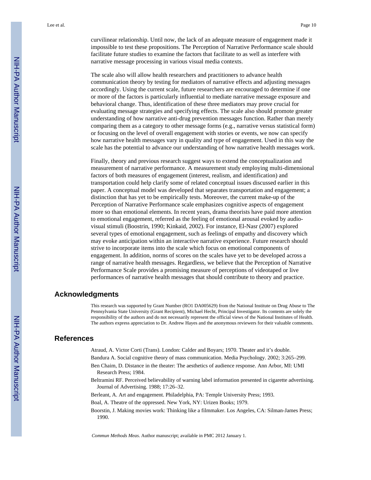curvilinear relationship. Until now, the lack of an adequate measure of engagement made it impossible to test these propositions. The Perception of Narrative Performance scale should facilitate future studies to examine the factors that facilitate to as well as interfere with narrative message processing in various visual media contexts.

The scale also will allow health researchers and practitioners to advance health communication theory by testing for mediators of narrative effects and adjusting messages accordingly. Using the current scale, future researchers are encouraged to determine if one or more of the factors is particularly influential to mediate narrative message exposure and behavioral change. Thus, identification of these three mediators may prove crucial for evaluating message strategies and specifying effects. The scale also should promote greater understanding of how narrative anti-drug prevention messages function. Rather than merely comparing them as a category to other message forms (e.g., narrative versus statistical form) or focusing on the level of overall engagement with stories or events, we now can specify how narrative health messages vary in quality and type of engagement. Used in this way the scale has the potential to advance our understanding of how narrative health messages work.

Finally, theory and previous research suggest ways to extend the conceptualization and measurement of narrative performance. A measurement study employing multi-dimensional factors of both measures of engagement (interest, realism, and identification) and transportation could help clarify some of related conceptual issues discussed earlier in this paper. A conceptual model was developed that separates transportation and engagement; a distinction that has yet to be empirically tests. Moreover, the current make-up of the Perception of Narrative Performance scale emphasizes cognitive aspects of engagement more so than emotional elements. In recent years, drama theorists have paid more attention to emotional engagement, referred as the feeling of emotional arousal evoked by audiovisual stimuli (Boostrin, 1990; Kinkaid, 2002). For instance, El-Nasr (2007) explored several types of emotional engagement, such as feelings of empathy and discovery which may evoke anticipation within an interactive narrative experience. Future research should strive to incorporate items into the scale which focus on emotional components of engagement. In addition, norms of scores on the scales have yet to be developed across a range of narrative health messages. Regardless, we believe that the Perception of Narrative Performance Scale provides a promising measure of perceptions of videotaped or live performances of narrative health messages that should contribute to theory and practice.

#### **Acknowledgments**

This research was supported by Grant Number (RO1 DA005629) from the National Institute on Drug Abuse to The Pennsylvania State University (Grant Recipient), Michael Hecht, Principal Investigator. Its contents are solely the responsibility of the authors and do not necessarily represent the official views of the National Institutes of Health. The authors express appreciation to Dr. Andrew Hayes and the anonymous reviewers for their valuable comments.

#### **References**

Atraud, A. Victor Corti (Trans). London: Calder and Boyars; 1970. Theater and it's double.

- Bandura A. Social cognitive theory of mass communication. Media Psychology. 2002; 3:265–299.
- Ben Chaim, D. Distance in the theater: The aesthetics of audience response. Ann Arbor, MI: UMI Research Press; 1984.
- Beltramini RF. Perceived believability of warning label information presented in cigarette advertising. Journal of Advertising. 1988; 17:26–32.
- Berleant, A. Art and engagement. Philadelphia, PA: Temple University Press; 1993.
- Boal, A. Theatre of the oppressed. New York, NY: Urizen Books; 1979.
- Boorstin, J. Making movies work: Thinking like a filmmaker. Los Angeles, CA: Silman-James Press; 1990.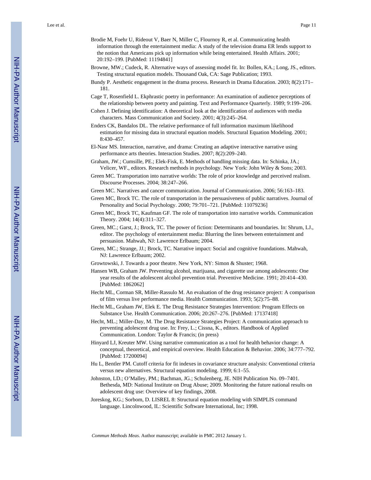- Brodie M, Foehr U, Rideout V, Baer N, Miller C, Flournoy R, et al. Communicating health information through the entertainment media: A study of the television drama ER lends support to the notion that Americans pick up information while being entertained. Health Affairs. 2001; 20:192–199. [PubMed: 11194841]
- Browne, MW.; Cudeck, R. Alternative ways of assessing model fit. In: Bollen, KA.; Long, JS., editors. Testing structural equation models. Thousand Oak, CA: Sage Publication; 1993.
- Bundy P. Aesthetic engagement in the drama process. Research in Drama Education. 2003; 8(2):171– 181.
- Cage T, Rosenfield L. Ekphrastic poetry in performance: An examination of audience perceptions of the relationship between poetry and painting. Text and Performance Quarterly. 1989; 9:199–206.
- Cohen J. Defining identification: A theoretical look at the identification of audiences with media characters. Mass Communication and Society. 2001; 4(3):245–264.
- Enders CK, Bandalos DL. The relative performance of full information maximum likelihood estimation for missing data in structural equation models. Structural Equation Modeling. 2001; 8:430–457.
- El-Nasr MS. Interaction, narrative, and drama: Creating an adaptive interactive narrative using performance arts theories. Interaction Studies. 2007; 8(2):209–240.
- Graham, JW.; Cumsille, PE.; Elek-Fisk, E. Methods of handling missing data. In: Schinka, JA.; Velicer, WF., editors. Research methods in psychology. New York: John Wiley & Sons; 2003.
- Green MC. Transportation into narrative worlds: The role of prior knowledge and perceived realism. Discourse Processes. 2004; 38:247–266.
- Green MC. Narratives and cancer communication. Journal of Communication. 2006; 56:163–183.
- Green MC, Brock TC. The role of transportation in the persuasiveness of public narratives. Journal of Personality and Social Psychology. 2000; 79:701–721. [PubMed: 11079236]
- Green MC, Brock TC, Kaufman GF. The role of transportation into narrative worlds. Communication Theory. 2004; 14(4):311–327.
- Green, MC.; Garst, J.; Brock, TC. The power of fiction: Determinants and boundaries. In: Shrum, LJ., editor. The psychology of entertainment media: Blurring the lines between entertainment and persuasion. Mahwah, NJ: Lawrence Erlbaum; 2004.
- Green, MC.; Strange, JJ.; Brock, TC. Narrative impact: Social and cognitive foundations. Mahwah, NJ: Lawrence Erlbaum; 2002.
- Growtowski, J. Towards a poor theatre. New York, NY: Simon & Shuster; 1968.
- Hansen WB, Graham JW. Preventing alcohol, marijuana, and cigarette use among adolescents: One year results of the adolescent alcohol prevention trial. Preventive Medicine. 1991; 20:414–430. [PubMed: 1862062]
- Hecht ML, Corman SR, Miller-Rassulo M. An evaluation of the drug resistance project: A comparison of film versus live performance media. Health Communication. 1993; 5(2):75–88.
- Hecht ML, Graham JW, Elek E. The Drug Resistance Strategies Intervention: Program Effects on Substance Use. Health Communication. 2006; 20:267–276. [PubMed: 17137418]
- Hecht, ML.; Miller-Day, M. The Drug Resistance Strategies Project: A communication approach to preventing adolescent drug use. In: Frey, L.; Cissna, K., editors. Handbook of Applied Communication. London: Taylor & Francis; (in press)
- Hinyard LJ, Kreuter MW. Using narrative communication as a tool for health behavior change: A conceptual, theoretical, and empirical overview. Health Education & Behavior. 2006; 34:777–792. [PubMed: 17200094]
- Hu L, Bentler PM. Cutoff criteria for fit indexes in covariance structure analysis: Conventional criteria versus new alternatives. Structural equation modeling. 1999; 6:1–55.
- Johnston, LD.; O'Malley, PM.; Bachman, JG.; Schulenberg, JE. NIH Publication No. 09–7401. Bethesda, MD: National Institute on Drug Abuse; 2009. Monitoring the future national results on adolescent drug use: Overview of key findings, 2008.
- Joreskog, KG.; Sorbom, D. LISREL 8: Structural equation modeling with SIMPLIS command language. Lincolnwood, IL: Scientific Software International, Inc; 1998.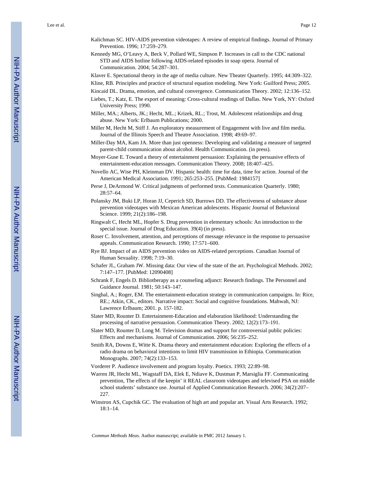- Kalichman SC. HIV-AIDS prevention videotapes: A review of empirical findings. Journal of Primary Prevention. 1996; 17:259–279.
- Kennedy MG, O'Leavy A, Beck V, Pollard WE, Simpson P. Increases in call to the CDC national STD and AIDS hotline following AIDS-related episodes in soap opera. Journal of Communication. 2004; 54:287–301.
- Klaver E. Spectational theory in the age of media culture. New Theater Quarterly. 1995; 44:309–322.

- Kincaid DL. Drama, emotion, and cultural convergence. Communication Theory. 2002; 12:136–152.
- Liebes, T.; Katz, E. The export of meaning: Cross-cultural readings of Dallas. New York, NY: Oxford University Press; 1990.
- Miller, MA.; Alberts, JK.; Hecht, ML.; Krizek, RL.; Trost, M. Adolescent relationships and drug abuse. New York: Erlbaum Publications; 2000.
- Miller M, Hecht M, Stiff J. An exploratory measurement of Engagement with live and film media. Journal of the Illinois Speech and Theatre Association. 1998; 49:69–97.
- Miller-Day MA, Kam JA. More than just openness: Developing and validating a measure of targeted parent-child communication about alcohol. Health Communication. (in press).
- Moyer-Guse E. Toward a theory of entertainment persuasion: Explaining the persuasive effects of entertainment-education messages. Communication Theory. 2008; 18:407–425.
- Novello AC, Wise PH, Kleinman DV. Hispanic health: time for data, time for action. Journal of the American Medical Association. 1991; 265:253–255. [PubMed: 1984157]
- Perse J, DeArmond W. Critical judgments of performed texts. Communication Quarterly. 1980; 28:57–64.
- Polansky JM, Buki LP, Horan JJ, Ceperich SD, Burrows DD. The effectiveness of substance abuse prevention videotapes with Mexican American adolescents. Hispanic Journal of Behavioral Science. 1999; 21(2):186–198.
- Ringwalt C, Hecht ML, Hopfer S. Drug prevention in elementary schools: An introduction to the special issue. Journal of Drug Education. 39(4) (in press).
- Roser C. Involvement, attention, and perceptions of message relevance in the response to persuasive appeals. Communication Research. 1990; 17:571–600.
- Rye BJ. Impact of an AIDS prevention video on AIDS-related perceptions. Canadian Journal of Human Sexuality. 1998; 7:19–30.
- Schafer JL, Graham JW. Missing data: Our view of the state of the art. Psychological Methods. 2002; 7:147–177. [PubMed: 12090408]
- Schrank F, Engels D. Bibliotherapy as a counseling adjunct: Research findings. The Personnel and Guidance Journal. 1981; 50:143–147.
- Singhal, A.; Roger, EM. The entertainment-education strategy in communication campaigns. In: Rice, RE.; Atkin, CK., editors. Narrative impact: Social and cognitive foundations. Mahwah, NJ: Lawrence Erlbaum; 2001. p. 157-182.
- Slater MD, Rounter D. Entertainment-Education and elaboration likelihood: Understanding the processing of narrative persuasion. Communication Theory. 2002; 12(2):173–191.
- Slater MD, Rounter D, Long M. Television dramas and support for controversial public policies: Effects and mechanisms. Journal of Communication. 2006; 56:235–252.
- Smith RA, Downs E, Witte K. Drama theory and entertainment education: Exploring the effects of a radio drama on behavioral intentions to limit HIV transmission in Ethiopia. Communication Monographs. 2007; 74(2):133–153.
- Vorderer P. Audience involvement and program loyalty. Poetics. 1993; 22:89–98.
- Warren JR, Hecht ML, Wagstaff DA, Elek E, Ndiave K, Dustman P, Marsiglia FF. Communicating prevention, The effects of the keepin' it REAL classroom videotapes and televised PSA on middle school students' substance use. Journal of Applied Communication Research. 2006; 34(2):207– 227.
- Winstron AS, Cupchik GC. The evaluation of high art and popular art. Visual Arts Research. 1992; 18:1–14.

Kline, RB. Principles and practice of structural equation modeling. New York: Guilford Press; 2005.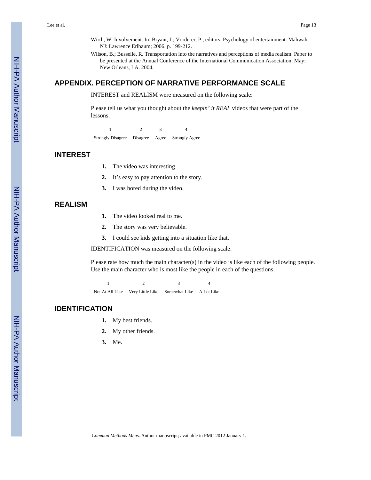- Wirth, W. Involvement. In: Bryant, J.; Vorderer, P., editors. Psychology of entertainment. Mahwah, NJ: Lawrence Erlbaum; 2006. p. 199-212.
- Wilson, B.; Busselle, R. Transportation into the narratives and perceptions of media realism. Paper to be presented at the Annual Conference of the International Communication Association; May; New Orleans, LA. 2004.

#### **APPENDIX. PERCEPTION OF NARRATIVE PERFORMANCE SCALE**

INTEREST and REALISM were measured on the following scale:

Please tell us what you thought about the *keepin' it REAL* videos that were part of the lessons.

1 2 3 4

Strongly Disagree Disagree Agree Strongly Agree

#### **INTEREST**

- **1.** The video was interesting.
- **2.** It's easy to pay attention to the story.
- **3.** I was bored during the video.

#### **REALISM**

- **1.** The video looked real to me.
- **2.** The story was very believable.
- **3.** I could see kids getting into a situation like that.

IDENTIFICATION was measured on the following scale:

Please rate how much the main character(s) in the video is like each of the following people. Use the main character who is most like the people in each of the questions.

 $1$  2 3 4 Not At All Like Very Little Like Somewhat Like A Lot Like

#### **IDENTIFICATION**

- **1.** My best friends.
- **2.** My other friends.
- **3.** Me.

NIH-PA Author Manuscript

NH-PA Author Manuscript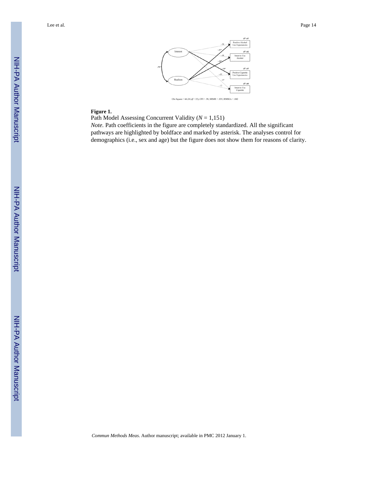

#### **Figure 1.**

Path Model Assessing Concurrent Validity (*N* = 1,151)

*Note.* Path coefficients in the figure are completely standardized. All the significant pathways are highlighted by boldface and marked by asterisk. The analyses control for demographics (i.e., sex and age) but the figure does not show them for reasons of clarity.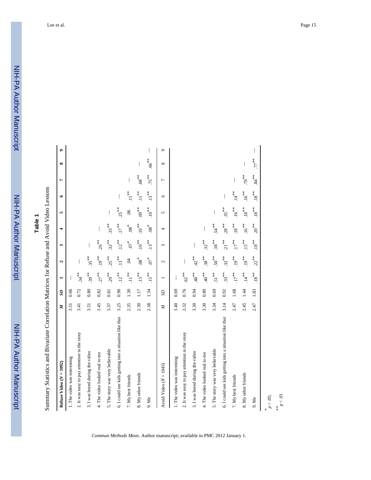## **Table 1**

| $\overline{\phantom{a}}$  |
|---------------------------|
| $\ddot{\phantom{a}}$<br>i |
|                           |
| こくこう こうしょう くくしょう          |
| こまくせい                     |
|                           |
|                           |
| نحسن أحسبت<br>l           |
| i                         |
| ļ                         |
| .<br>ו                    |
| l                         |

| Refuse Video $(N = 1092)$                              | Z    | SD   |                    | 2                  | S                    | 4                  | r,                   | $\bullet$            | Ļ                      | $\infty$     | $\bullet$ |
|--------------------------------------------------------|------|------|--------------------|--------------------|----------------------|--------------------|----------------------|----------------------|------------------------|--------------|-----------|
| 1. The video was interesting                           | 3.51 | 0.66 |                    |                    |                      |                    |                      |                      |                        |              |           |
| 2. It was easy to pay attention to the story           | 3.41 | 0.72 | $.34***$           |                    |                      |                    |                      |                      |                        |              |           |
| 3. I was bored during the video                        | 3.51 | 0.80 | $.39***$           | $.35***$           |                      |                    |                      |                      |                        |              |           |
| 4. The video looked real to me                         | 3.45 | 0.82 | $27^{**}$          | $**$ <sub>19</sub> | $.26***$             |                    |                      |                      |                        |              |           |
| 5. The story was very believable                       | 3.37 | 0.81 | $.29***$           | $.25***$           | $.32***$             | $.33***$           |                      |                      |                        |              |           |
| 6. I could see kids getting into a situation like that | 3.25 | 0.90 | $.12***$           | $.13***$           | $12^{**}$            | $\cdot17$ **       | $.25***$             |                      |                        |              |           |
| 7. My best friends                                     | 2.35 | 1.30 | $11**$             | S.                 | ${^*}$ 0.            | $^{*}80$           | $\frac{6}{1}$        | $\prod_{i=1}^{n}$    |                        |              |           |
| 8. My other friends                                    | 2.30 | 1.17 | $.13***$           | $^{*}80$           | $\cdot^{**}$ 01.     | $\cdot^{**}$ 01.   | $^{***}$             | $\cdot$ 11.          | $^{***}$ 68 $^{\circ}$ |              |           |
| 9. Me                                                  | 2.38 | 1.34 | $.15***$           | $*$ 0.             | $.13***$             | $.08*$             | $\cdot^{**}$ 01.     | $.13***$             | $75**$                 | $.66***$     |           |
| Avoid Video $(N = 1043)$                               | Z    | SD   |                    | $\overline{c}$     | $\epsilon$           | 4                  | 5                    | $\circ$              | $\overline{ }$         | $\infty$     | ٥         |
| . The video was interesting                            | 3.40 | 0.69 |                    |                    |                      |                    |                      |                      |                        |              |           |
| 2. It was easy to pay attention to the story           | 3.32 | 0.76 | $+ * 62$           |                    |                      |                    |                      |                      |                        |              |           |
| 3. I was bored during the video                        | 3.30 | 0.94 | $48^{***}$         | $42**$             |                      |                    |                      |                      |                        |              |           |
| 4. The video looked real to me                         | 3.30 | 0.80 | $**0*$ .           | $.38***$           | $.32***$             |                    |                      |                      |                        |              |           |
| 5. The story was very believable                       | 3.34 | 0.69 | $.51**$            | ${50}^{\ast\ast}$  | $.38***$             | $54**$             |                      |                      |                        |              |           |
| 6. I could see kids getting into a situation like that | 3.14 | 0.92 | $33^{**}$          | $.32***$           | $21$ **              | $.28***$           | $.35***$             |                      |                        |              |           |
| 7. My best friends                                     | 2.47 | 1.68 | $\cdot$ 17 $^{**}$ | $19**$             | $\cdot17^{***}$      | $\mathbf{^{18}}^*$ | $.16***$             | $.14***$             |                        |              |           |
| 8. My other friends                                    | 2.45 | 1.44 | $.14***$           | $^{***}$           | $.15***$             | $.16***$           | $\cdot^{18}$ $\cdot$ | $.16***$             | $* *$                  |              |           |
| 9. Me                                                  | 2.47 | 1.83 | $\mathbf{^{18}}^*$ | $22^{**}$          | $\cdot^{18}$ $\cdot$ | $20^{**}$          | $\mathbf{^{**}}$     | $\mathbf{^{**}}$ .18 | $^{**}$                | $\ast\ast L$ |           |
| $p < .05;$<br>₩                                        |      |      |                    |                    |                      |                    |                      |                      |                        |              |           |
| $p<.01$<br>$*$                                         |      |      |                    |                    |                      |                    |                      |                      |                        |              |           |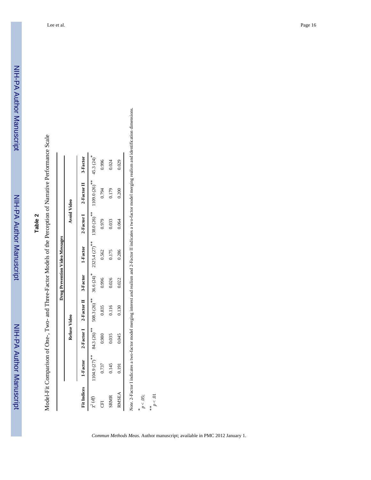NIH-PA Author Manuscript

NIH-PA Author Manuscript

# **Table 2**

Model-Fit Comparison of One-, Two- and Three-Factor Models of the Perception of Narrative Performance Scale Model-Fit Comparison of One-, Two- and Three-Factor Models of the Perception of Narrative Performance Scale

|                     |       |              | <b>Drug Prevention Video Messages</b> |       |       |             |                                                                                                                                               |       |
|---------------------|-------|--------------|---------------------------------------|-------|-------|-------------|-----------------------------------------------------------------------------------------------------------------------------------------------|-------|
|                     |       | Refuse Video |                                       |       |       | Avoid Video |                                                                                                                                               |       |
|                     |       |              |                                       |       |       |             | Fit Indices 1-Factor 2-Factor 1 3-Factor 1-Factor 2-Factor 2-Factor 1 3-Factor                                                                |       |
| $v^2_{\epsilon}(d)$ |       |              |                                       |       |       |             | $1104.9 (27)^{**}$ 84.3 $(26)^{**}$ 508.3 $(26)^{**}$ 36.6 $(24)^{*}$ 2325.4 $(27)^{**}$ 138.0 $(26)^{**}$ 1109.0 $(26)^{**}$ 45.3 $(24)^{*}$ |       |
| 핅                   | 0.737 | 0.980        | 0.835                                 | 0.996 | 0.562 | 0.979       | 0.794                                                                                                                                         | 0.996 |
| SRMR                | 0.145 | 0.035        | 0.116                                 | 0.026 | 0.175 | 0.33        | 1.179                                                                                                                                         | 0.024 |
| RMSEA               | 0.191 | 0.045        | 0.130                                 | 0.022 | 0.286 | 0.064       | 0.200                                                                                                                                         | 0.029 |

*\* p* < .05; *\*\* p* < .01